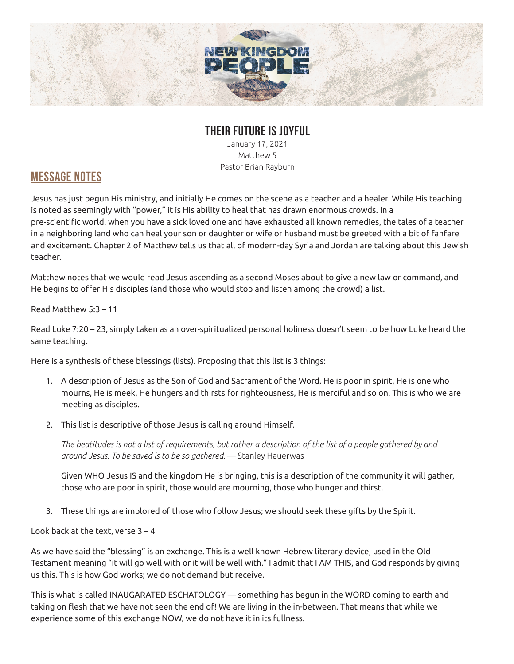

## **THEIR FUTURE IS JOYFUL**

January 17, 2021 Matthew 5 Pastor Brian Rayburn

## **MESSAGE NOTES**

Jesus has just begun His ministry, and initially He comes on the scene as a teacher and a healer. While His teaching is noted as seemingly with "power," it is His ability to heal that has drawn enormous crowds. In a pre-scientific world, when you have a sick loved one and have exhausted all known remedies, the tales of a teacher in a neighboring land who can heal your son or daughter or wife or husband must be greeted with a bit of fanfare and excitement. Chapter 2 of Matthew tells us that all of modern-day Syria and Jordan are talking about this Jewish teacher.

Matthew notes that we would read Jesus ascending as a second Moses about to give a new law or command, and He begins to offer His disciples (and those who would stop and listen among the crowd) a list.

## Read Matthew 5:3 – 11

Read Luke 7:20 – 23, simply taken as an over-spiritualized personal holiness doesn't seem to be how Luke heard the same teaching.

Here is a synthesis of these blessings (lists). Proposing that this list is 3 things:

- 1. A description of Jesus as the Son of God and Sacrament of the Word. He is poor in spirit, He is one who mourns, He is meek, He hungers and thirsts for righteousness, He is merciful and so on. This is who we are meeting as disciples.
- 2. This list is descriptive of those Jesus is calling around Himself.

*The beatitudes is not a list of requirements, but rather a description of the list of a people gathered by and around Jesus. To be saved is to be so gathered.* — Stanley Hauerwas

Given WHO Jesus IS and the kingdom He is bringing, this is a description of the community it will gather, those who are poor in spirit, those would are mourning, those who hunger and thirst.

3. These things are implored of those who follow Jesus; we should seek these gifts by the Spirit.

Look back at the text, verse  $3 - 4$ 

As we have said the "blessing" is an exchange. This is a well known Hebrew literary device, used in the Old Testament meaning "it will go well with or it will be well with." I admit that I AM THIS, and God responds by giving us this. This is how God works; we do not demand but receive.

This is what is called INAUGARATED ESCHATOLOGY — something has begun in the WORD coming to earth and taking on flesh that we have not seen the end of! We are living in the in-between. That means that while we experience some of this exchange NOW, we do not have it in its fullness.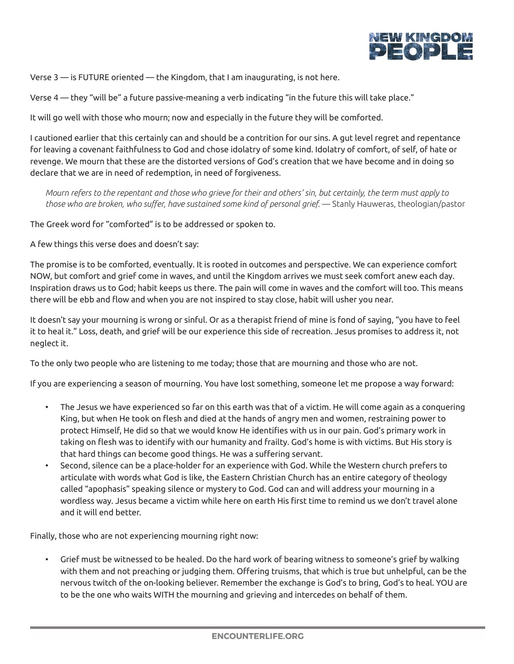

Verse 3 — is FUTURE oriented — the Kingdom, that I am inaugurating, is not here.

Verse 4 — they "will be" a future passive-meaning a verb indicating "in the future this will take place."

It will go well with those who mourn; now and especially in the future they will be comforted.

I cautioned earlier that this certainly can and should be a contrition for our sins. A gut level regret and repentance for leaving a covenant faithfulness to God and chose idolatry of some kind. Idolatry of comfort, of self, of hate or revenge. We mourn that these are the distorted versions of God's creation that we have become and in doing so declare that we are in need of redemption, in need of forgiveness.

*Mourn refers to the repentant and those who grieve for their and others' sin, but certainly, the term must apply to*  those who are broken, who suffer, have sustained some kind of personal grief. — Stanly Hauweras, theologian/pastor

The Greek word for "comforted" is to be addressed or spoken to.

A few things this verse does and doesn't say:

The promise is to be comforted, eventually. It is rooted in outcomes and perspective. We can experience comfort NOW, but comfort and grief come in waves, and until the Kingdom arrives we must seek comfort anew each day. Inspiration draws us to God; habit keeps us there. The pain will come in waves and the comfort will too. This means there will be ebb and flow and when you are not inspired to stay close, habit will usher you near.

It doesn't say your mourning is wrong or sinful. Or as a therapist friend of mine is fond of saying, "you have to feel it to heal it." Loss, death, and grief will be our experience this side of recreation. Jesus promises to address it, not neglect it.

To the only two people who are listening to me today; those that are mourning and those who are not.

If you are experiencing a season of mourning. You have lost something, someone let me propose a way forward:

- The Jesus we have experienced so far on this earth was that of a victim. He will come again as a conquering King, but when He took on flesh and died at the hands of angry men and women, restraining power to protect Himself, He did so that we would know He identifies with us in our pain. God's primary work in taking on flesh was to identify with our humanity and frailty. God's home is with victims. But His story is that hard things can become good things. He was a suffering servant.
- Second, silence can be a place-holder for an experience with God. While the Western church prefers to articulate with words what God is like, the Eastern Christian Church has an entire category of theology called "apophasis" speaking silence or mystery to God. God can and will address your mourning in a wordless way. Jesus became a victim while here on earth His first time to remind us we don't travel alone and it will end better.

Finally, those who are not experiencing mourning right now:

• Grief must be witnessed to be healed. Do the hard work of bearing witness to someone's grief by walking with them and not preaching or judging them. Offering truisms, that which is true but unhelpful, can be the nervous twitch of the on-looking believer. Remember the exchange is God's to bring, God's to heal. YOU are to be the one who waits WITH the mourning and grieving and intercedes on behalf of them.